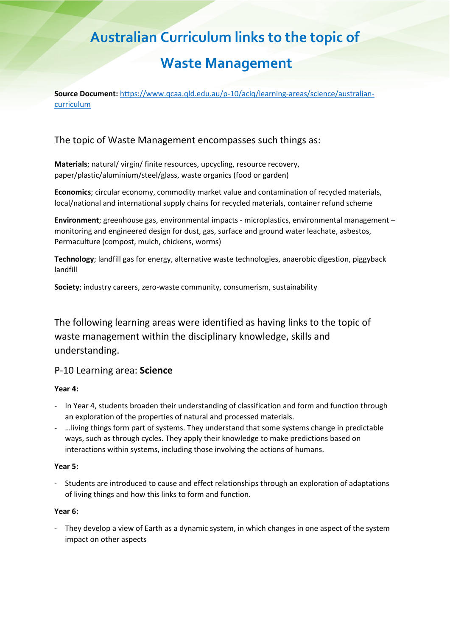# **Australian Curriculum links to the topic of**

# **Waste Management**

**Source Document:** [https://www.qcaa.qld.edu.au/p-10/aciq/learning-areas/science/australian](https://www.qcaa.qld.edu.au/p-10/aciq/learning-areas/science/australian-curriculum)[curriculum](https://www.qcaa.qld.edu.au/p-10/aciq/learning-areas/science/australian-curriculum)

# The topic of Waste Management encompasses such things as:

**Materials**; natural/ virgin/ finite resources, upcycling, resource recovery, paper/plastic/aluminium/steel/glass, waste organics (food or garden)

**Economics**; circular economy, commodity market value and contamination of recycled materials, local/national and international supply chains for recycled materials, container refund scheme

**Environment**; greenhouse gas, environmental impacts - microplastics, environmental management – monitoring and engineered design for dust, gas, surface and ground water leachate, asbestos, Permaculture (compost, mulch, chickens, worms)

**Technology**; landfill gas for energy, alternative waste technologies, anaerobic digestion, piggyback landfill

**Society**; industry careers, zero-waste community, consumerism, sustainability

The following learning areas were identified as having links to the topic of waste management within the disciplinary knowledge, skills and understanding.

## P-10 Learning area: **Science**

### **Year 4:**

- In Year 4, students broaden their understanding of classification and form and function through an exploration of the properties of natural and processed materials.
- …living things form part of systems. They understand that some systems change in predictable ways, such as through cycles. They apply their knowledge to make predictions based on interactions within systems, including those involving the actions of humans.

### **Year 5:**

- Students are introduced to cause and effect relationships through an exploration of adaptations of living things and how this links to form and function.

### **Year 6:**

- They develop a view of Earth as a dynamic system, in which changes in one aspect of the system impact on other aspects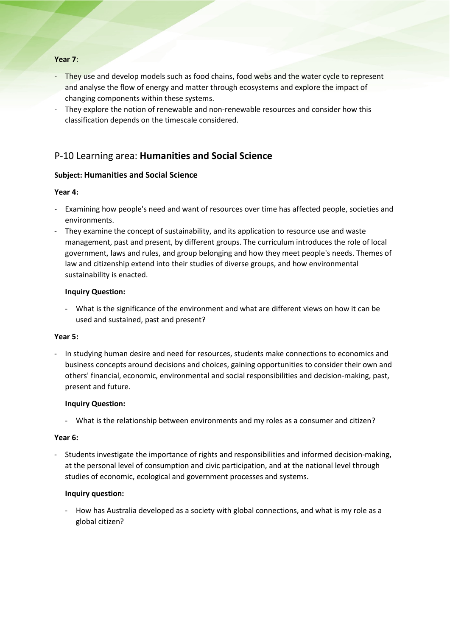### **Year 7**:

- They use and develop models such as food chains, food webs and the water cycle to represent and analyse the flow of energy and matter through ecosystems and explore the impact of changing components within these systems.
- They explore the notion of renewable and non-renewable resources and consider how this classification depends on the timescale considered.

## P-10 Learning area: **Humanities and Social Science**

### **Subject: Humanities and Social Science**

### **Year 4:**

- Examining how people's need and want of resources over time has affected people, societies and environments.
- They examine the concept of sustainability, and its application to resource use and waste management, past and present, by different groups. The curriculum introduces the role of local government, laws and rules, and group belonging and how they meet people's needs. Themes of law and citizenship extend into their studies of diverse groups, and how environmental sustainability is enacted.

### **Inquiry Question:**

- What is the significance of the environment and what are different views on how it can be used and sustained, past and present?

### **Year 5:**

- In studying human desire and need for resources, students make connections to economics and business concepts around decisions and choices, gaining opportunities to consider their own and others' financial, economic, environmental and social responsibilities and decision-making, past, present and future.

### **Inquiry Question:**

- What is the relationship between environments and my roles as a consumer and citizen?

### **Year 6:**

- Students investigate the importance of rights and responsibilities and informed decision-making, at the personal level of consumption and civic participation, and at the national level through studies of economic, ecological and government processes and systems.

### **Inquiry question:**

How has Australia developed as a society with global connections, and what is my role as a global citizen?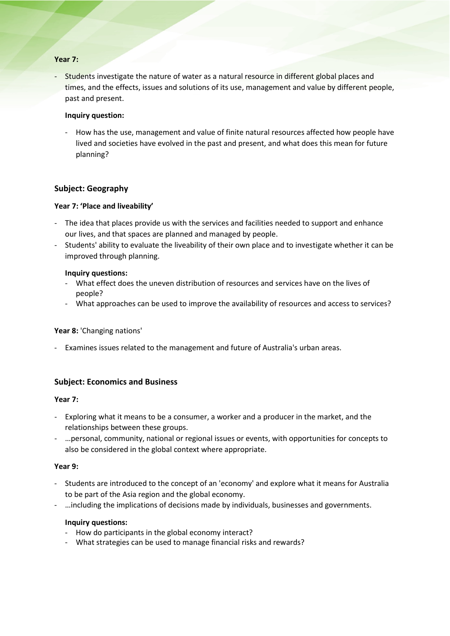### **Year 7:**

Students investigate the nature of water as a natural resource in different global places and times, and the effects, issues and solutions of its use, management and value by different people, past and present.

### **Inquiry question:**

How has the use, management and value of finite natural resources affected how people have lived and societies have evolved in the past and present, and what does this mean for future planning?

### **Subject: Geography**

### **Year 7: 'Place and liveability'**

- The idea that places provide us with the services and facilities needed to support and enhance our lives, and that spaces are planned and managed by people.
- Students' ability to evaluate the liveability of their own place and to investigate whether it can be improved through planning.

### **Inquiry questions:**

- What effect does the uneven distribution of resources and services have on the lives of people?
- What approaches can be used to improve the availability of resources and access to services?

### **Year 8:** 'Changing nations'

Examines issues related to the management and future of Australia's urban areas.

### **Subject: Economics and Business**

### **Year 7:**

- Exploring what it means to be a consumer, a worker and a producer in the market, and the relationships between these groups.
- …personal, community, national or regional issues or events, with opportunities for concepts to also be considered in the global context where appropriate.

### **Year 9:**

- Students are introduced to the concept of an 'economy' and explore what it means for Australia to be part of the Asia region and the global economy.
- …including the implications of decisions made by individuals, businesses and governments.

### **Inquiry questions:**

- How do participants in the global economy interact?
- What strategies can be used to manage financial risks and rewards?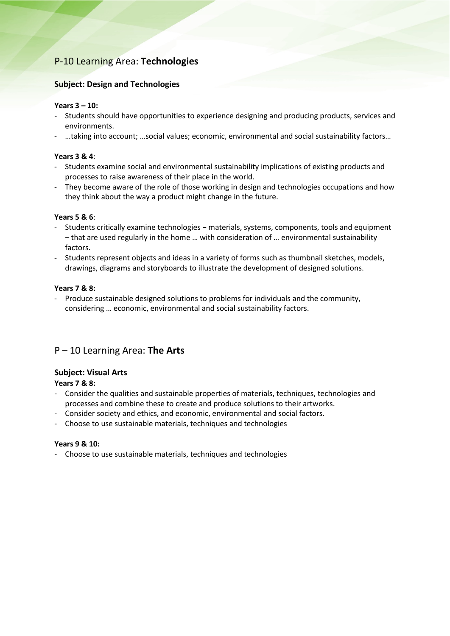# P-10 Learning Area: **Technologies**

### **Subject: Design and Technologies**

### **Years 3 – 10:**

- Students should have opportunities to experience designing and producing products, services and environments.
- …taking into account; …social values; economic, environmental and social sustainability factors…

### **Years 3 & 4**:

- Students examine social and environmental sustainability implications of existing products and processes to raise awareness of their place in the world.
- They become aware of the role of those working in design and technologies occupations and how they think about the way a product might change in the future.

### **Years 5 & 6**:

- Students critically examine technologies − materials, systems, components, tools and equipment − that are used regularly in the home … with consideration of … environmental sustainability factors.
- Students represent objects and ideas in a variety of forms such as thumbnail sketches, models, drawings, diagrams and storyboards to illustrate the development of designed solutions.

### **Years 7 & 8:**

- Produce sustainable designed solutions to problems for individuals and the community, considering … economic, environmental and social sustainability factors.

# P – 10 Learning Area: **The Arts**

### **Subject: Visual Arts**

### **Years 7 & 8:**

- Consider the qualities and sustainable properties of materials, techniques, technologies and processes and combine these to create and produce solutions to their artworks.
- Consider society and ethics, and economic, environmental and social factors.
- Choose to use sustainable materials, techniques and technologies

### **Years 9 & 10:**

- Choose to use sustainable materials, techniques and technologies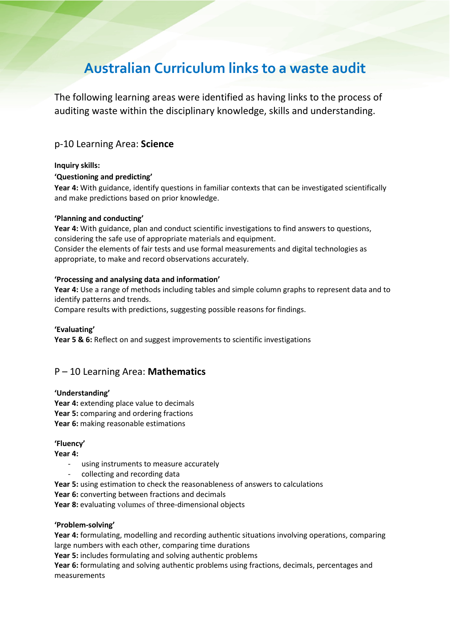# **Australian Curriculum links to a waste audit**

The following learning areas were identified as having links to the process of auditing waste within the disciplinary knowledge, skills and understanding.

## p-10 Learning Area: **Science**

### **Inquiry skills:**

### **'Questioning and predicting'**

**Year 4:** With guidance, identify questions in familiar contexts that can be investigated scientifically and make predictions based on prior knowledge.

### **'Planning and conducting'**

**Year 4:** With guidance, plan and conduct scientific investigations to find answers to questions, considering the safe use of appropriate materials and equipment.

Consider the elements of fair tests and use formal measurements and digital technologies as appropriate, to make and record observations accurately.

### **'Processing and analysing data and information'**

**Year 4:** Use a range of methods including tables and simple column graphs to represent data and to identify patterns and trends.

Compare results with predictions, suggesting possible reasons for findings.

### **'Evaluating'**

**Year 5 & 6:** Reflect on and suggest improvements to scientific investigations

## P – 10 Learning Area: **Mathematics**

### **'Understanding'**

Year 4: extending place value to decimals **Year 5:** comparing and ordering fractions **Year 6:** making reasonable estimations

### **'Fluency'**

**Year 4:**

- using instruments to measure accurately
- collecting and recording data
- **Year 5:** using estimation to check the reasonableness of answers to calculations
- **Year 6:** converting between fractions and decimals

**Year 8:** evaluating volumes of three-dimensional objects

### **'Problem-solving'**

**Year 4:** formulating, modelling and recording authentic situations involving operations, comparing large numbers with each other, comparing time durations

**Year 5:** includes formulating and solving authentic problems

**Year 6:** formulating and solving authentic problems using fractions, decimals, percentages and measurements